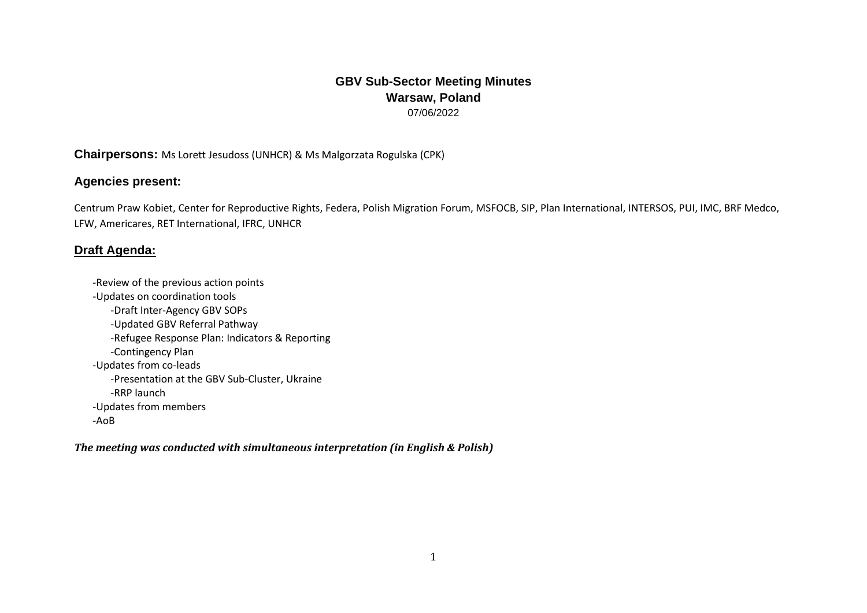## **GBV Sub-Sector Meeting Minutes Warsaw, Poland** 07/06/2022

## **Chairpersons:** Ms Lorett Jesudoss (UNHCR) & Ms Malgorzata Rogulska (CPK)

## **Agencies present:**

Centrum Praw Kobiet, Center for Reproductive Rights, Federa, Polish Migration Forum, MSFOCB, SIP, Plan International, INTERSOS, PUI, IMC, BRF Medco, LFW, Americares, RET International, IFRC, UNHCR

## **Draft Agenda:**

-Review of the previous action points -Updates on coordination tools -Draft Inter-Agency GBV SOPs -Updated GBV Referral Pathway -Refugee Response Plan: Indicators & Reporting -Contingency Plan -Updates from co-leads -Presentation at the GBV Sub-Cluster, Ukraine -RRP launch -Updates from members -AoB

*The meeting was conducted with simultaneous interpretation (in English & Polish)*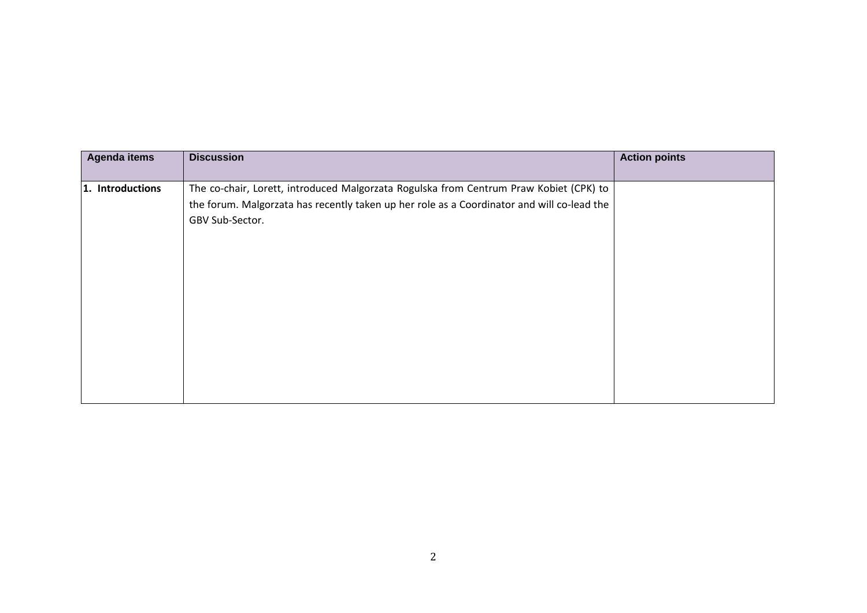| Agenda items     | <b>Discussion</b>                                                                                                                                                                                       | <b>Action points</b> |
|------------------|---------------------------------------------------------------------------------------------------------------------------------------------------------------------------------------------------------|----------------------|
| 1. Introductions | The co-chair, Lorett, introduced Malgorzata Rogulska from Centrum Praw Kobiet (CPK) to<br>the forum. Malgorzata has recently taken up her role as a Coordinator and will co-lead the<br>GBV Sub-Sector. |                      |
|                  |                                                                                                                                                                                                         |                      |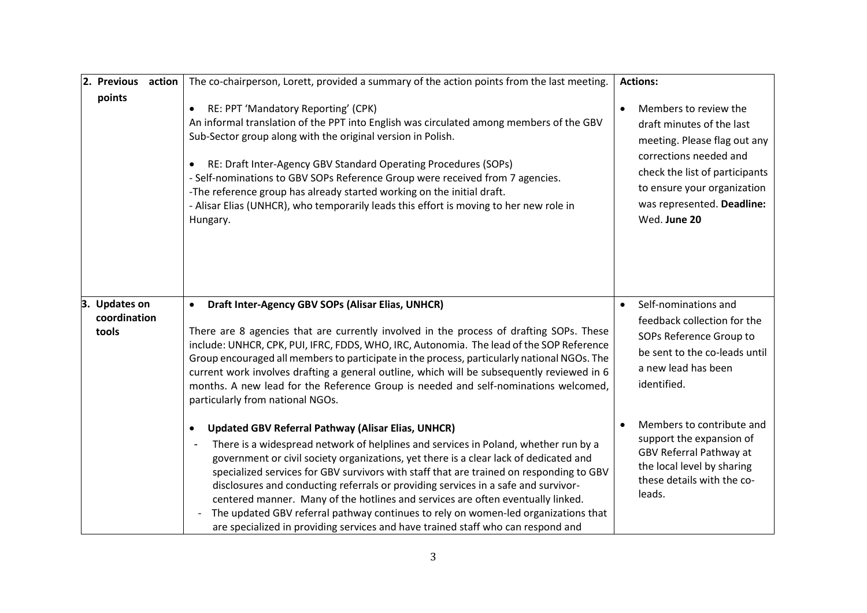| 2. Previous<br>action                  | The co-chairperson, Lorett, provided a summary of the action points from the last meeting.                                                                                                                                                                                                                                                                                                                                                                                                                                                                                                                                                                                                                             | <b>Actions:</b>                                                                                                                                                                                                                          |
|----------------------------------------|------------------------------------------------------------------------------------------------------------------------------------------------------------------------------------------------------------------------------------------------------------------------------------------------------------------------------------------------------------------------------------------------------------------------------------------------------------------------------------------------------------------------------------------------------------------------------------------------------------------------------------------------------------------------------------------------------------------------|------------------------------------------------------------------------------------------------------------------------------------------------------------------------------------------------------------------------------------------|
| points                                 | RE: PPT 'Mandatory Reporting' (CPK)<br>$\bullet$<br>An informal translation of the PPT into English was circulated among members of the GBV<br>Sub-Sector group along with the original version in Polish.<br>RE: Draft Inter-Agency GBV Standard Operating Procedures (SOPs)<br>$\bullet$<br>- Self-nominations to GBV SOPs Reference Group were received from 7 agencies.<br>-The reference group has already started working on the initial draft.<br>- Alisar Elias (UNHCR), who temporarily leads this effort is moving to her new role in<br>Hungary.                                                                                                                                                            | Members to review the<br>$\bullet$<br>draft minutes of the last<br>meeting. Please flag out any<br>corrections needed and<br>check the list of participants<br>to ensure your organization<br>was represented. Deadline:<br>Wed. June 20 |
| 3. Updates on<br>coordination<br>tools | Draft Inter-Agency GBV SOPs (Alisar Elias, UNHCR)<br>$\bullet$<br>There are 8 agencies that are currently involved in the process of drafting SOPs. These<br>include: UNHCR, CPK, PUI, IFRC, FDDS, WHO, IRC, Autonomia. The lead of the SOP Reference<br>Group encouraged all members to participate in the process, particularly national NGOs. The<br>current work involves drafting a general outline, which will be subsequently reviewed in 6<br>months. A new lead for the Reference Group is needed and self-nominations welcomed,<br>particularly from national NGOs.                                                                                                                                          | Self-nominations and<br>$\bullet$<br>feedback collection for the<br>SOPs Reference Group to<br>be sent to the co-leads until<br>a new lead has been<br>identified.                                                                       |
|                                        | <b>Updated GBV Referral Pathway (Alisar Elias, UNHCR)</b><br>$\bullet$<br>There is a widespread network of helplines and services in Poland, whether run by a<br>$\blacksquare$<br>government or civil society organizations, yet there is a clear lack of dedicated and<br>specialized services for GBV survivors with staff that are trained on responding to GBV<br>disclosures and conducting referrals or providing services in a safe and survivor-<br>centered manner. Many of the hotlines and services are often eventually linked.<br>The updated GBV referral pathway continues to rely on women-led organizations that<br>are specialized in providing services and have trained staff who can respond and | Members to contribute and<br>support the expansion of<br>GBV Referral Pathway at<br>the local level by sharing<br>these details with the co-<br>leads.                                                                                   |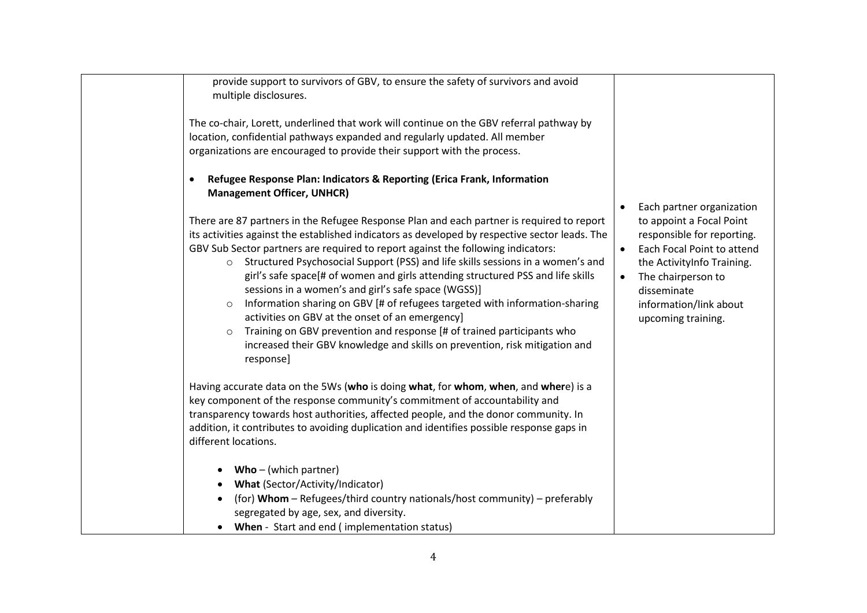| provide support to survivors of GBV, to ensure the safety of survivors and avoid<br>multiple disclosures.                                                                                                                                                                                                                                                                                                                                                                                                                                                                                                                                                                                                                                                                                                                                    |                                                                                                                                                                                                                                                                             |
|----------------------------------------------------------------------------------------------------------------------------------------------------------------------------------------------------------------------------------------------------------------------------------------------------------------------------------------------------------------------------------------------------------------------------------------------------------------------------------------------------------------------------------------------------------------------------------------------------------------------------------------------------------------------------------------------------------------------------------------------------------------------------------------------------------------------------------------------|-----------------------------------------------------------------------------------------------------------------------------------------------------------------------------------------------------------------------------------------------------------------------------|
| The co-chair, Lorett, underlined that work will continue on the GBV referral pathway by<br>location, confidential pathways expanded and regularly updated. All member<br>organizations are encouraged to provide their support with the process.                                                                                                                                                                                                                                                                                                                                                                                                                                                                                                                                                                                             |                                                                                                                                                                                                                                                                             |
| Refugee Response Plan: Indicators & Reporting (Erica Frank, Information<br>$\bullet$<br><b>Management Officer, UNHCR)</b>                                                                                                                                                                                                                                                                                                                                                                                                                                                                                                                                                                                                                                                                                                                    |                                                                                                                                                                                                                                                                             |
| There are 87 partners in the Refugee Response Plan and each partner is required to report<br>its activities against the established indicators as developed by respective sector leads. The<br>GBV Sub Sector partners are required to report against the following indicators:<br>o Structured Psychosocial Support (PSS) and life skills sessions in a women's and<br>girl's safe space[# of women and girls attending structured PSS and life skills<br>sessions in a women's and girl's safe space (WGSS)]<br>Information sharing on GBV [# of refugees targeted with information-sharing<br>$\circ$<br>activities on GBV at the onset of an emergency]<br>Training on GBV prevention and response [# of trained participants who<br>$\circ$<br>increased their GBV knowledge and skills on prevention, risk mitigation and<br>response] | Each partner organization<br>$\bullet$<br>to appoint a Focal Point<br>responsible for reporting.<br>Each Focal Point to attend<br>$\bullet$<br>the ActivityInfo Training.<br>The chairperson to<br>$\bullet$<br>disseminate<br>information/link about<br>upcoming training. |
| Having accurate data on the 5Ws (who is doing what, for whom, when, and where) is a<br>key component of the response community's commitment of accountability and<br>transparency towards host authorities, affected people, and the donor community. In<br>addition, it contributes to avoiding duplication and identifies possible response gaps in<br>different locations.                                                                                                                                                                                                                                                                                                                                                                                                                                                                |                                                                                                                                                                                                                                                                             |
| $Who - (which partner)$<br><b>What (Sector/Activity/Indicator)</b><br>(for) Whom - Refugees/third country nationals/host community) - preferably<br>segregated by age, sex, and diversity.<br>When - Start and end (implementation status)<br>$\bullet$                                                                                                                                                                                                                                                                                                                                                                                                                                                                                                                                                                                      |                                                                                                                                                                                                                                                                             |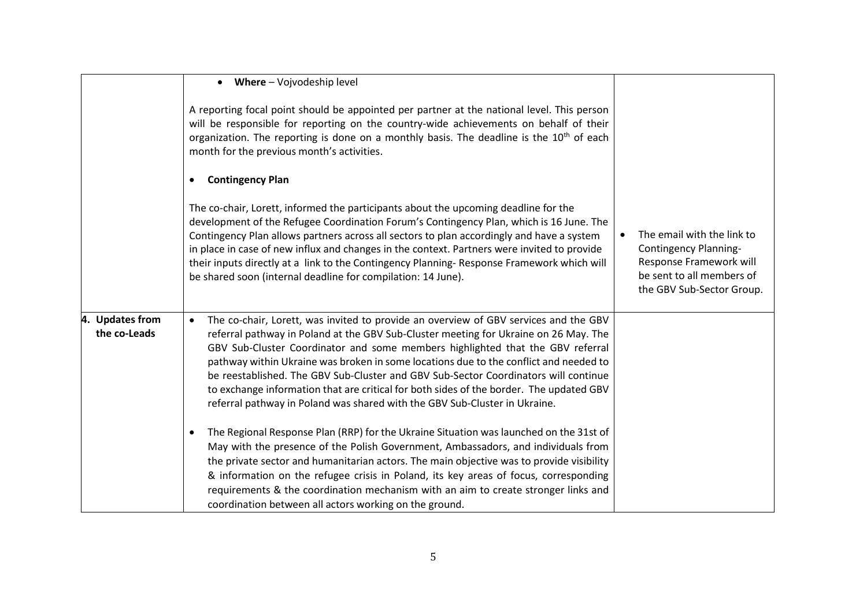|                                           | Where - Vojvodeship level<br>$\bullet$                                                                                                                                                                                                                                                                                                                                                                                                                                                                                                                                                                                               |                                                                                                                                                 |
|-------------------------------------------|--------------------------------------------------------------------------------------------------------------------------------------------------------------------------------------------------------------------------------------------------------------------------------------------------------------------------------------------------------------------------------------------------------------------------------------------------------------------------------------------------------------------------------------------------------------------------------------------------------------------------------------|-------------------------------------------------------------------------------------------------------------------------------------------------|
|                                           | A reporting focal point should be appointed per partner at the national level. This person<br>will be responsible for reporting on the country-wide achievements on behalf of their<br>organization. The reporting is done on a monthly basis. The deadline is the 10 <sup>th</sup> of each<br>month for the previous month's activities.                                                                                                                                                                                                                                                                                            |                                                                                                                                                 |
|                                           | <b>Contingency Plan</b><br>$\bullet$                                                                                                                                                                                                                                                                                                                                                                                                                                                                                                                                                                                                 |                                                                                                                                                 |
|                                           | The co-chair, Lorett, informed the participants about the upcoming deadline for the<br>development of the Refugee Coordination Forum's Contingency Plan, which is 16 June. The<br>Contingency Plan allows partners across all sectors to plan accordingly and have a system<br>in place in case of new influx and changes in the context. Partners were invited to provide<br>their inputs directly at a link to the Contingency Planning-Response Framework which will<br>be shared soon (internal deadline for compilation: 14 June).                                                                                              | The email with the link to<br><b>Contingency Planning-</b><br>Response Framework will<br>be sent to all members of<br>the GBV Sub-Sector Group. |
| 4.<br><b>Updates from</b><br>the co-Leads | The co-chair, Lorett, was invited to provide an overview of GBV services and the GBV<br>$\bullet$<br>referral pathway in Poland at the GBV Sub-Cluster meeting for Ukraine on 26 May. The<br>GBV Sub-Cluster Coordinator and some members highlighted that the GBV referral<br>pathway within Ukraine was broken in some locations due to the conflict and needed to<br>be reestablished. The GBV Sub-Cluster and GBV Sub-Sector Coordinators will continue<br>to exchange information that are critical for both sides of the border. The updated GBV<br>referral pathway in Poland was shared with the GBV Sub-Cluster in Ukraine. |                                                                                                                                                 |
|                                           | The Regional Response Plan (RRP) for the Ukraine Situation was launched on the 31st of<br>$\bullet$<br>May with the presence of the Polish Government, Ambassadors, and individuals from<br>the private sector and humanitarian actors. The main objective was to provide visibility<br>& information on the refugee crisis in Poland, its key areas of focus, corresponding<br>requirements & the coordination mechanism with an aim to create stronger links and<br>coordination between all actors working on the ground.                                                                                                         |                                                                                                                                                 |